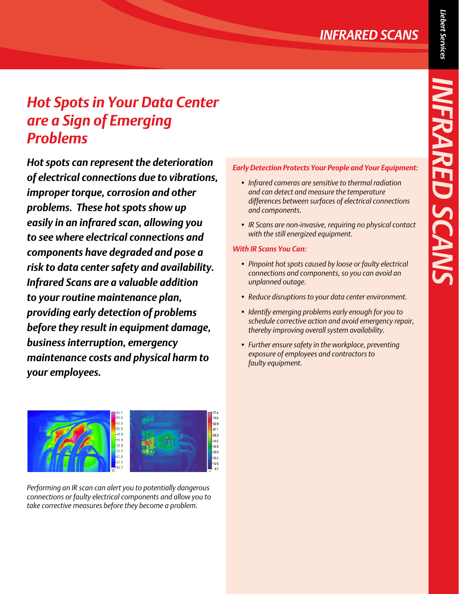*INFRARED SCANS*

NFRARED SCANS

# *Hot Spots in Your Data Center are a Sign of Emerging Problems*

*Hot spots can represent the deterioration of electrical connections due to vibrations, improper torque, corrosion and other problems. These hot spots show up easily in an infrared scan, allowing you to see where electrical connections and components have degraded and pose a risk to data center safety and availability. Infrared Scans are a valuable addition to your routine maintenance plan, providing early detection of problems before they result in equipment damage, business interruption, emergency maintenance costs and physical harm to your employees.*

#### $-539$  $-57.1$ 50.3  $-138$ 35.8 30.0 23.2 16.5

*Performing an IR scan can alert you to potentially dangerous connections or faulty electrical components and allow you to take corrective measures before they become a problem.*

### *Early Detection Protects Your People and Your Equipment:*

- *• Infrared cameras are sensitive to thermal radiation and can detect and measure the temperature differences between surfaces of electrical connections and components.*
- *• IR Scans are non-invasive, requiring no physical contact with the still energized equipment.*

### *With IR Scans You Can:*

- *• Pinpoint hot spots caused by loose or faulty electrical connections and components, so you can avoid an unplanned outage.*
- *• Reduce disruptions to your data center environment.*
- *• Identify emerging problems early enough for you to schedule corrective action and avoid emergency repair, thereby improving overall system availability.*
- *• Further ensure safety in the workplace, preventing exposure of employees and contractors to faulty equipment.*